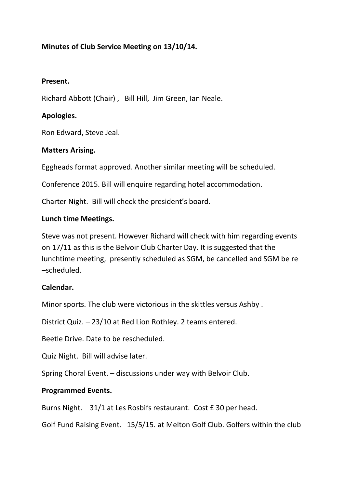# **Minutes of Club Service Meeting on 13/10/14.**

#### **Present.**

Richard Abbott (Chair) , Bill Hill, Jim Green, Ian Neale.

# **Apologies.**

Ron Edward, Steve Jeal.

### **Matters Arising.**

Eggheads format approved. Another similar meeting will be scheduled.

Conference 2015. Bill will enquire regarding hotel accommodation.

Charter Night. Bill will check the president's board.

#### **Lunch time Meetings.**

Steve was not present. However Richard will check with him regarding events on 17/11 as this is the Belvoir Club Charter Day. It is suggested that the lunchtime meeting, presently scheduled as SGM, be cancelled and SGM be re –scheduled.

### **Calendar.**

Minor sports. The club were victorious in the skittles versus Ashby .

District Quiz. – 23/10 at Red Lion Rothley. 2 teams entered.

Beetle Drive. Date to be rescheduled.

Quiz Night. Bill will advise later.

Spring Choral Event. – discussions under way with Belvoir Club.

### **Programmed Events.**

Burns Night. 31/1 at Les Rosbifs restaurant. Cost £ 30 per head.

Golf Fund Raising Event. 15/5/15. at Melton Golf Club. Golfers within the club